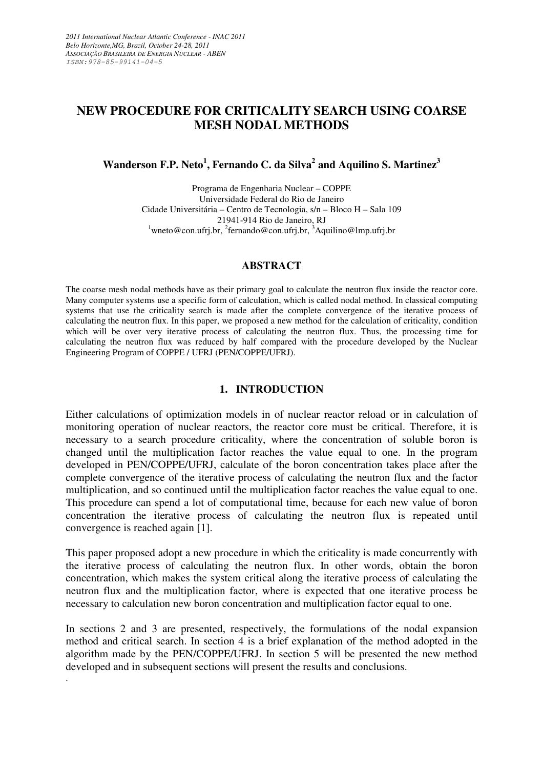# **NEW PROCEDURE FOR CRITICALITY SEARCH USING COARSE MESH NODAL METHODS**

**Wanderson F.P. Neto<sup>1</sup> , Fernando C. da Silva<sup>2</sup> and Aquilino S. Martinez<sup>3</sup>**

Programa de Engenharia Nuclear – COPPE Universidade Federal do Rio de Janeiro Cidade Universitária – Centro de Tecnologia, s/n – Bloco H – Sala 109 21941-914 Rio de Janeiro, RJ  $1$ wneto@con.ufrj.br,  $2$ fernando@con.ufrj.br,  $3$ Aquilino@lmp.ufrj.br

### **ABSTRACT**

The coarse mesh nodal methods have as their primary goal to calculate the neutron flux inside the reactor core. Many computer systems use a specific form of calculation, which is called nodal method. In classical computing systems that use the criticality search is made after the complete convergence of the iterative process of calculating the neutron flux. In this paper, we proposed a new method for the calculation of criticality, condition which will be over very iterative process of calculating the neutron flux. Thus, the processing time for calculating the neutron flux was reduced by half compared with the procedure developed by the Nuclear Engineering Program of COPPE / UFRJ (PEN/COPPE/UFRJ).

## **1. INTRODUCTION**

Either calculations of optimization models in of nuclear reactor reload or in calculation of monitoring operation of nuclear reactors, the reactor core must be critical. Therefore, it is necessary to a search procedure criticality, where the concentration of soluble boron is changed until the multiplication factor reaches the value equal to one. In the program developed in PEN/COPPE/UFRJ, calculate of the boron concentration takes place after the complete convergence of the iterative process of calculating the neutron flux and the factor multiplication, and so continued until the multiplication factor reaches the value equal to one. This procedure can spend a lot of computational time, because for each new value of boron concentration the iterative process of calculating the neutron flux is repeated until convergence is reached again [1].

This paper proposed adopt a new procedure in which the criticality is made concurrently with the iterative process of calculating the neutron flux. In other words, obtain the boron concentration, which makes the system critical along the iterative process of calculating the neutron flux and the multiplication factor, where is expected that one iterative process be necessary to calculation new boron concentration and multiplication factor equal to one.

In sections 2 and 3 are presented, respectively, the formulations of the nodal expansion method and critical search. In section 4 is a brief explanation of the method adopted in the algorithm made by the PEN/COPPE/UFRJ. In section 5 will be presented the new method developed and in subsequent sections will present the results and conclusions.

.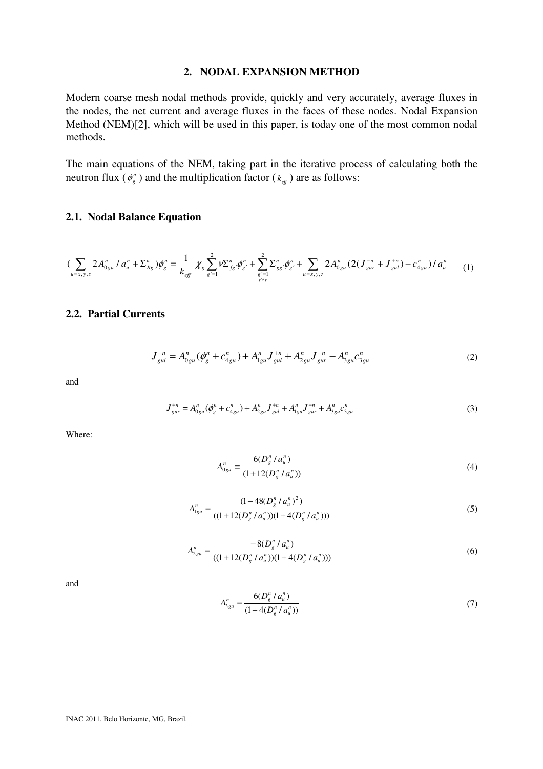### **2. NODAL EXPANSION METHOD**

Modern coarse mesh nodal methods provide, quickly and very accurately, average fluxes in the nodes, the net current and average fluxes in the faces of these nodes. Nodal Expansion Method (NEM)[2], which will be used in this paper, is today one of the most common nodal methods.

The main equations of the NEM, taking part in the iterative process of calculating both the neutron flux ( $\phi_g$ <sup>n</sup>) and the multiplication factor ( $k_{\text{eff}}$ ) are as follows:

### **2.1. Nodal Balance Equation**

$$
\left(\sum_{u=x,y,z} 2A_{0gu}^n / a_u^n + \Sigma_{Rg}^n\right)\phi_g^n = \frac{1}{k_{eff}} \chi_g \sum_{g'=1}^2 V \Sigma_{fg}^n \phi_{g'}^n + \sum_{g'=1 \atop g' \neq g} \Sigma_{gg'}^n \phi_{g'}^n + \sum_{u=x,y,z} 2A_{0gu}^n (2(J_{gur}^{-n} + J_{gul}^{+n}) - c_{4gu}^n) / a_u^n \tag{1}
$$

## **2.2. Partial Currents**

$$
J_{gul}^{-n} = A_{0gu}^{n}(\phi_g^n + c_{4gu}^n) + A_{1gu}^{n}J_{gul}^{+n} + A_{2gu}^{n}J_{gur}^{-n} - A_{3gu}^{n}c_{3gu}^{n}
$$
 (2)

and

$$
J_{gur}^{+n} = A_{0gu}^n(\phi_g^n + c_{4gu}^n) + A_{2gu}^n J_{gul}^{+n} + A_{1gu}^n J_{gur}^{-n} + A_{3gu}^n c_{3gu}^n
$$
\n(3)

Where:

$$
A_{0gu}^n \equiv \frac{6(D_s^n / a_u^n)}{(1 + 12(D_s^n / a_u^n))}
$$
(4)

$$
A_{1gu}^n = \frac{(1 - 48(D_g^n/a_u^n)^2)}{((1 + 12(D_g^n/a_u^n))(1 + 4(D_g^n/a_u^n)))}
$$
(5)

$$
A_{2gu}^{n} = \frac{-8(D_s^n / a_u^n)}{((1 + 12(D_s^n / a_u^n))(1 + 4(D_s^n / a_u^n)))}
$$
(6)

and

$$
A_{3gu}^n = \frac{6(D_g^n / a_u^n)}{(1 + 4(D_g^n / a_u^n))}
$$
\n<sup>(7)</sup>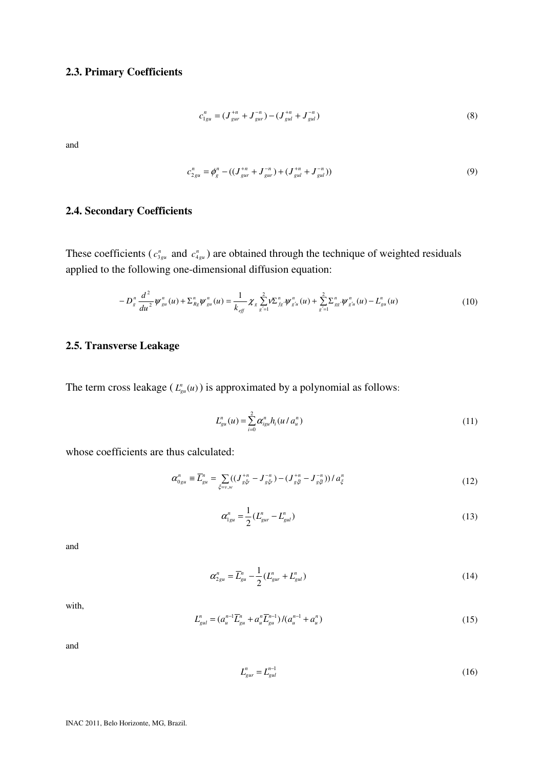## **2.3. Primary Coefficients**

$$
c_{1gu}^n = (J_{gur}^{+n} + J_{gur}^{-n}) - (J_{gul}^{+n} + J_{gul}^{-n})
$$
\n(8)

and

$$
c_{2gu}^n = \phi_g^n - ((J_{gur}^{+n} + J_{gur}^{-n}) + (J_{gul}^{+n} + J_{gul}^{-n}))
$$
\n(9)

## **2.4. Secondary Coefficients**

These coefficients ( $c_{3gu}^n$  and  $c_{4gu}^n$ ) are obtained through the technique of weighted residuals applied to the following one-dimensional diffusion equation:

$$
-D_s^n \frac{d^2}{du^2} \psi_{gu}^n(u) + \Sigma_{Rg}^n \psi_{gu}^n(u) = \frac{1}{k_{\text{eff}}} \chi_g \sum_{g'=1}^2 \mathcal{V}^{n}_{fg'} \psi_{g'u}^n(u) + \sum_{g'=1}^2 \Sigma_{gg'}^n \psi_{g'u}^n(u) - L_{gu}^n(u)
$$
(10)

## **2.5. Transverse Leakage**

The term cross leakage  $(L_{gu}^n(u))$  is approximated by a polynomial as follows:

$$
L_{gu}^{n}(u) = \sum_{i=0}^{2} \alpha_{igu}^{n} h_i(u/a_{u}^{n})
$$
\n(11)

whose coefficients are thus calculated:

$$
\alpha_{0gu}^n \equiv \overline{L}_{gu}^n = \sum_{\xi=v,w} ((J_{g\xi}^{+n} - J_{g\xi}^{-n}) - (J_{g\xi}^{+n} - J_{g\xi}^{-n}) ) / a_{\xi}^n
$$
\n(12)

$$
\alpha_{1gu}^n = \frac{1}{2} (L_{gur}^n - L_{gul}^n)
$$
\n(13)

and

$$
\alpha_{2gu}^n = \overline{L}_{gu}^n - \frac{1}{2} (L_{gu}^n + L_{gul}^n)
$$
 (14)

with,

$$
L_{gul}^{n} = (a_{u}^{n-1} \overline{L}_{gu}^{n} + a_{u}^{n} \overline{L}_{gu}^{n-1})/(a_{u}^{n-1} + a_{u}^{n})
$$
\n(15)

and

$$
L_{\text{gur}}^n = L_{\text{gul}}^{n-1} \tag{16}
$$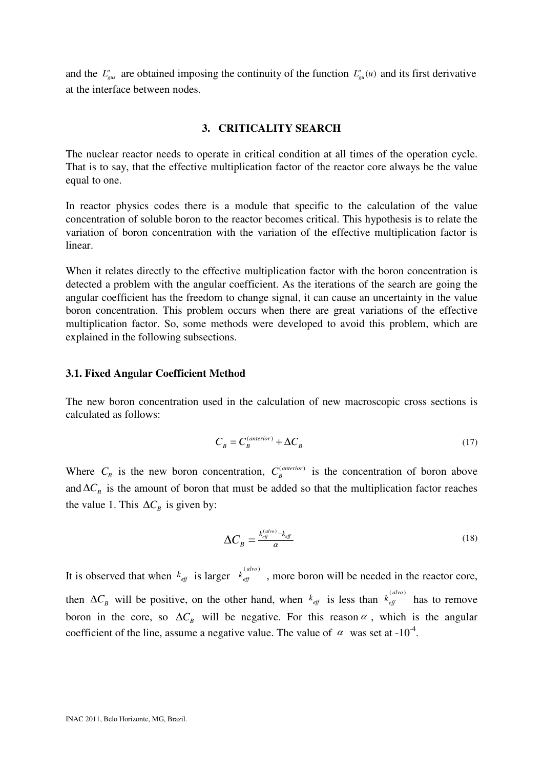and the  $L_{gas}^n$  are obtained imposing the continuity of the function  $L_{gas}^n(u)$  and its first derivative at the interface between nodes.

## **3. CRITICALITY SEARCH**

The nuclear reactor needs to operate in critical condition at all times of the operation cycle. That is to say, that the effective multiplication factor of the reactor core always be the value equal to one.

In reactor physics codes there is a module that specific to the calculation of the value concentration of soluble boron to the reactor becomes critical. This hypothesis is to relate the variation of boron concentration with the variation of the effective multiplication factor is linear.

When it relates directly to the effective multiplication factor with the boron concentration is detected a problem with the angular coefficient. As the iterations of the search are going the angular coefficient has the freedom to change signal, it can cause an uncertainty in the value boron concentration. This problem occurs when there are great variations of the effective multiplication factor. So, some methods were developed to avoid this problem, which are explained in the following subsections.

### **3.1. Fixed Angular Coefficient Method**

The new boron concentration used in the calculation of new macroscopic cross sections is calculated as follows:

$$
C_B = C_B^{(anterior)} + \Delta C_B \tag{17}
$$

Where  $C_B$  is the new boron concentration,  $C_B^{(anterior)}$  is the concentration of boron above and  $\Delta C_B$  is the amount of boron that must be added so that the multiplication factor reaches the value 1. This  $\Delta C_B$  is given by:

$$
\Delta C_B = \frac{k_{\text{eff}}^{(alvo)} - k_{\text{eff}}}{\alpha} \tag{18}
$$

It is observed that when  $k_{\text{eff}}$  is larger  $k_{\text{eff}}^{(alvo)}$ , more boron will be needed in the reactor core, then  $\Delta C_B$  will be positive, on the other hand, when  $k_{\text{eff}}$  is less than  $k_{\text{eff}}^{(alvo)}$  has to remove boron in the core, so  $\Delta C_B$  will be negative. For this reason  $\alpha$ , which is the angular coefficient of the line, assume a negative value. The value of  $\alpha$  was set at -10<sup>-4</sup>.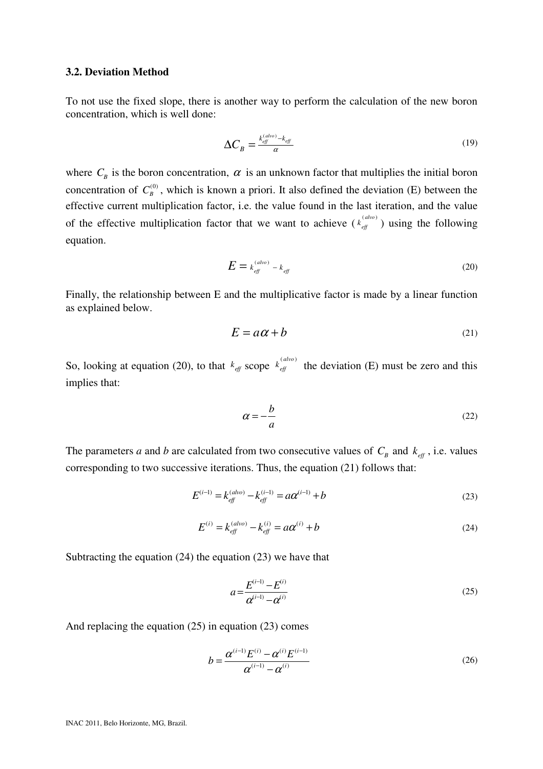### **3.2. Deviation Method**

To not use the fixed slope, there is another way to perform the calculation of the new boron concentration, which is well done:

$$
\Delta C_B = \frac{k_{\text{eff}}^{(dvo)} - k_{\text{eff}}}{\alpha} \tag{19}
$$

where  $C_B$  is the boron concentration,  $\alpha$  is an unknown factor that multiplies the initial boron concentration of  $C_B^{(0)}$ , which is known a priori. It also defined the deviation (E) between the effective current multiplication factor, i.e. the value found in the last iteration, and the value of the effective multiplication factor that we want to achieve  $(k_{\text{eff}}^{(alvo)})$  using the following equation.

$$
E = k_{\text{eff}}^{(alvo)} - k_{\text{eff}} \tag{20}
$$

Finally, the relationship between E and the multiplicative factor is made by a linear function as explained below.

$$
E = a\alpha + b \tag{21}
$$

So, looking at equation (20), to that  $k_{\text{eff}}$  scope  $k_{\text{eff}}^{(alvo)}$  the deviation (E) must be zero and this implies that:

$$
\alpha = -\frac{b}{a} \tag{22}
$$

The parameters *a* and *b* are calculated from two consecutive values of  $C_B$  and  $k_{\text{eff}}$ , i.e. values corresponding to two successive iterations. Thus, the equation (21) follows that:

$$
E^{(i-1)} = k_{\text{eff}}^{(alvo)} - k_{\text{eff}}^{(i-1)} = a\alpha^{(i-1)} + b\tag{23}
$$

$$
E^{(i)} = k_{\text{eff}}^{(alvo)} - k_{\text{eff}}^{(i)} = a\alpha^{(i)} + b\tag{24}
$$

Subtracting the equation (24) the equation (23) we have that

$$
a = \frac{E^{(i-1)} - E^{(i)}}{\alpha^{(i-1)} - \alpha^{(i)}}
$$
\n(25)

And replacing the equation (25) in equation (23) comes

$$
b = \frac{\alpha^{(i-1)} E^{(i)} - \alpha^{(i)} E^{(i-1)}}{\alpha^{(i-1)} - \alpha^{(i)}}
$$
(26)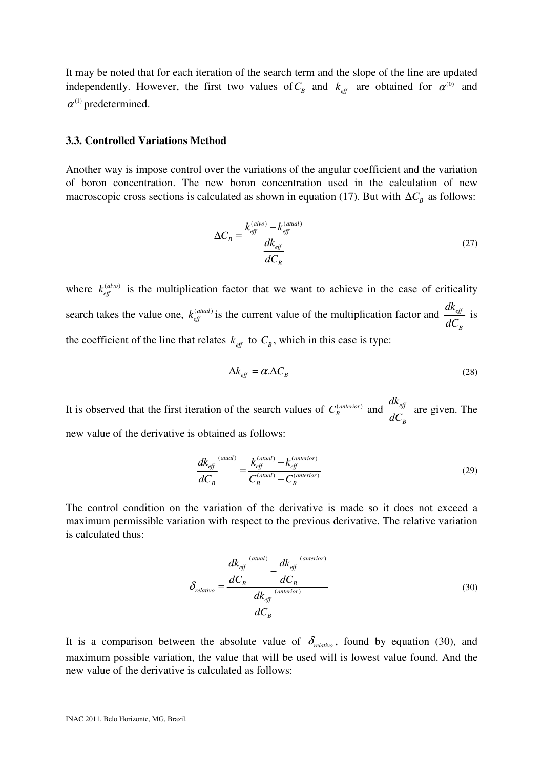It may be noted that for each iteration of the search term and the slope of the line are updated independently. However, the first two values of  $C_B$  and  $k_{\text{eff}}$  are obtained for  $\alpha^{(0)}$  and  $\alpha$ <sup>(1)</sup> predetermined.

#### **3.3. Controlled Variations Method**

Another way is impose control over the variations of the angular coefficient and the variation of boron concentration. The new boron concentration used in the calculation of new macroscopic cross sections is calculated as shown in equation (17). But with  $\Delta C_B$  as follows:

$$
\Delta C_B = \frac{k_{\text{eff}}^{(alvo)} - k_{\text{eff}}^{(atual)}}{dk_{\text{eff}}}
$$
(27)

where  $k_{\text{eff}}^{(alvo)}$  is the multiplication factor that we want to achieve in the case of criticality search takes the value one,  $k_{\text{eff}}^{(atual)}$  is the current value of the multiplication factor and  $\frac{dK_{\text{eff}}}{dG}$ *B dk dC* is the coefficient of the line that relates  $k_{\text{eff}}$  to  $C_B$ , which in this case is type:

$$
\Delta k_{\text{eff}} = \alpha \Delta C_{\text{B}} \tag{28}
$$

It is observed that the first iteration of the search values of  $C_B^{(anterior)}$  and  $\frac{dR_{eff}}{dG}$ *B dk dC* are given. The new value of the derivative is obtained as follows:

$$
\frac{dk_{\text{eff}}^{(atual)}}{dC_B} = \frac{k_{\text{eff}}^{(atual)} - k_{\text{eff}}^{(anterior)}}{C_B^{(atual)} - C_B^{(anterior)}}
$$
(29)

The control condition on the variation of the derivative is made so it does not exceed a maximum permissible variation with respect to the previous derivative. The relative variation is calculated thus:

$$
\delta_{relative} = \frac{\frac{dk_{\text{eff}}}{dC_B} - \frac{dk_{\text{eff}}}{dC_B}}{\frac{dk_{\text{eff}}}{dC_B}} \tag{30}
$$

It is a comparison between the absolute value of  $\delta_{relativo}$ , found by equation (30), and maximum possible variation, the value that will be used will is lowest value found. And the new value of the derivative is calculated as follows: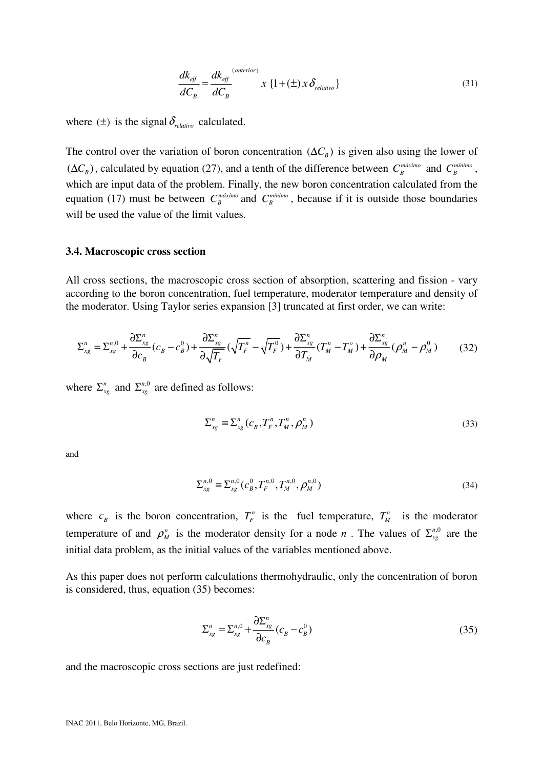$$
\frac{dk_{\text{eff}}}{dC_B} = \frac{dk_{\text{eff}}}{dC_B} \times \{1 + (\pm) \times \delta_{\text{relative}}\}\tag{31}
$$

where  $(\pm)$  is the signal  $\delta_{relative}$  calculated.

The control over the variation of boron concentration  $(\Delta C_B)$  is given also using the lower of  $(\Delta C_B)$ , calculated by equation (27), and a tenth of the difference between  $C_B^{maximo}$  and  $C_B^{minimo}$ , which are input data of the problem. Finally, the new boron concentration calculated from the equation (17) must be between  $C_B^{\text{maximo}}$  and  $C_B^{\text{minimo}}$ , because if it is outside those boundaries will be used the value of the limit values.

#### **3.4. Macroscopic cross section**

All cross sections, the macroscopic cross section of absorption, scattering and fission - vary according to the boron concentration, fuel temperature, moderator temperature and density of the moderator. Using Taylor series expansion [3] truncated at first order, we can write:

$$
\Sigma_{xg}^{n} = \Sigma_{xg}^{n,0} + \frac{\partial \Sigma_{xg}^{n}}{\partial c_{B}} (c_{B} - c_{B}^{0}) + \frac{\partial \Sigma_{xg}^{n}}{\partial \sqrt{T_{F}}} (\sqrt{T_{F}^{n}} - \sqrt{T_{F}^{0}}) + \frac{\partial \Sigma_{xg}^{n}}{\partial T_{M}} (T_{M}^{n} - T_{M}^{o}) + \frac{\partial \Sigma_{xg}^{n}}{\partial \rho_{M}} (\rho_{M}^{n} - \rho_{M}^{0})
$$
(32)

where  $\sum_{x}^{n}$  and  $\sum_{x}^{n,0}$  are defined as follows:

$$
\Sigma_{xg}^{n} \equiv \Sigma_{xg}^{n} \left( c_{B}, T_{F}^{n}, T_{M}^{n}, \rho_{M}^{n} \right)
$$
\n(33)

and

$$
\Sigma_{xg}^{n,0} \equiv \Sigma_{xg}^{n,0} (c_B^0, T_F^{n,0}, T_M^{n,0}, \rho_M^{n,0})
$$
\n(34)

where  $c_B$  is the boron concentration,  $T_F^n$  is the fuel temperature,  $T_M^n$  is the moderator temperature of and  $\rho_M^n$  is the moderator density for a node *n*. The values of  $\Sigma_{x}^{n,0}$  are the initial data problem, as the initial values of the variables mentioned above.

As this paper does not perform calculations thermohydraulic, only the concentration of boron is considered, thus, equation (35) becomes:

$$
\Sigma_{xg}^{n} = \Sigma_{xg}^{n,0} + \frac{\partial \Sigma_{xg}^{n}}{\partial c_{B}} (c_{B} - c_{B}^{0})
$$
\n(35)

and the macroscopic cross sections are just redefined: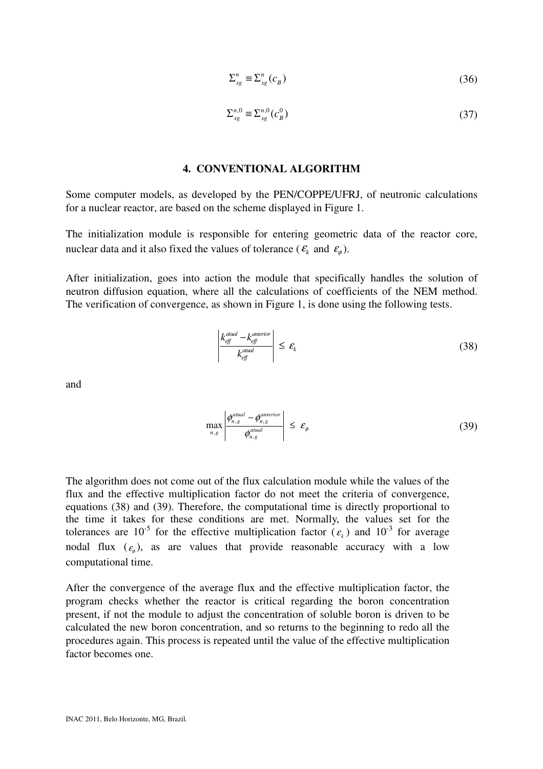$$
\Sigma_{xg}^{n} \equiv \Sigma_{xg}^{n} (c_B)
$$
 (36)

$$
\Sigma_{xg}^{n,0} \equiv \Sigma_{xg}^{n,0}(c_B^0) \tag{37}
$$

### **4. CONVENTIONAL ALGORITHM**

Some computer models, as developed by the PEN/COPPE/UFRJ, of neutronic calculations for a nuclear reactor, are based on the scheme displayed in Figure 1.

The initialization module is responsible for entering geometric data of the reactor core, nuclear data and it also fixed the values of tolerance ( $\epsilon_k$  and  $\epsilon_{\phi}$ ).

After initialization, goes into action the module that specifically handles the solution of neutron diffusion equation, where all the calculations of coefficients of the NEM method. The verification of convergence, as shown in Figure 1, is done using the following tests.

$$
\left| \frac{k_{\text{eff}}^{\text{atual}} - k_{\text{eff}}^{\text{attri}}}{k_{\text{eff}}^{\text{atual}}} \right| \le \varepsilon_{k} \tag{38}
$$

and

$$
\max_{n,g} \left| \frac{\phi_{n,g}^{atual} - \phi_{n,g}^{anterior}}{\phi_{n,g}^{atual}} \right| \leq \varepsilon_{\phi} \tag{39}
$$

The algorithm does not come out of the flux calculation module while the values of the flux and the effective multiplication factor do not meet the criteria of convergence, equations (38) and (39). Therefore, the computational time is directly proportional to the time it takes for these conditions are met. Normally, the values set for the tolerances are 10<sup>-5</sup> for the effective multiplication factor  $(\varepsilon_k)$  and 10<sup>-3</sup> for average nodal flux  $(\varepsilon_{\phi})$ , as are values that provide reasonable accuracy with a low computational time.

After the convergence of the average flux and the effective multiplication factor, the program checks whether the reactor is critical regarding the boron concentration present, if not the module to adjust the concentration of soluble boron is driven to be calculated the new boron concentration, and so returns to the beginning to redo all the procedures again. This process is repeated until the value of the effective multiplication factor becomes one.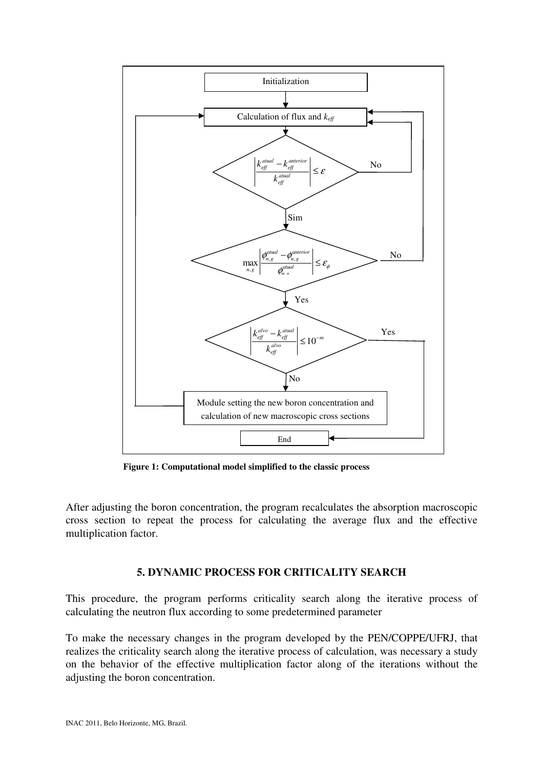

**Figure 1: Computational model simplified to the classic process** 

After adjusting the boron concentration, the program recalculates the absorption macroscopic cross section to repeat the process for calculating the average flux and the effective multiplication factor.

## **5. DYNAMIC PROCESS FOR CRITICALITY SEARCH**

This procedure, the program performs criticality search along the iterative process of calculating the neutron flux according to some predetermined parameter

To make the necessary changes in the program developed by the PEN/COPPE/UFRJ, that realizes the criticality search along the iterative process of calculation, was necessary a study on the behavior of the effective multiplication factor along of the iterations without the adjusting the boron concentration.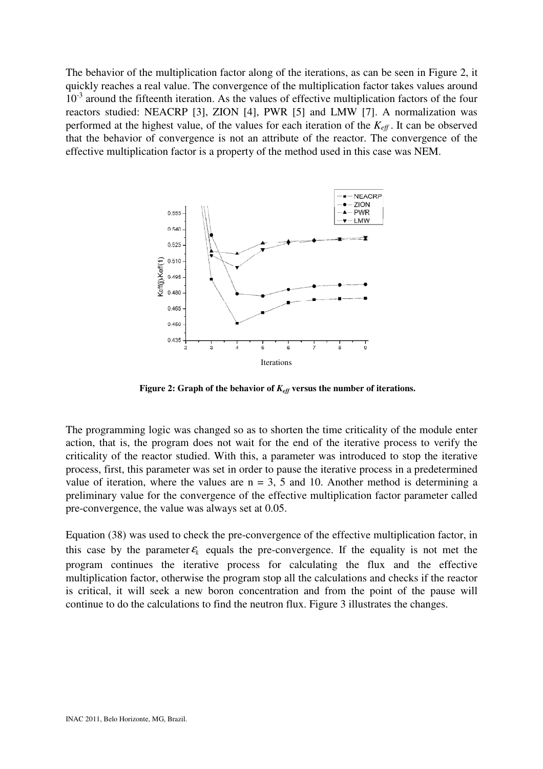The behavior of the multiplication factor along of the iterations, as can be seen in Figure 2, it quickly reaches a real value. The convergence of the multiplication factor takes values around  $10^{-3}$  around the fifteenth iteration. As the values of effective multiplication factors of the four reactors studied: NEACRP [3], ZION [4], PWR [5] and LMW [7]. A normalization was performed at the highest value, of the values for each iteration of the *Keff* . It can be observed that the behavior of convergence is not an attribute of the reactor. The convergence of the effective multiplication factor is a property of the method used in this case was NEM.



**Figure 2: Graph of the behavior of** *Keff* **versus the number of iterations.** 

The programming logic was changed so as to shorten the time criticality of the module enter action, that is, the program does not wait for the end of the iterative process to verify the criticality of the reactor studied. With this, a parameter was introduced to stop the iterative process, first, this parameter was set in order to pause the iterative process in a predetermined value of iteration, where the values are  $n = 3$ , 5 and 10. Another method is determining a preliminary value for the convergence of the effective multiplication factor parameter called pre-convergence, the value was always set at 0.05.

Equation (38) was used to check the pre-convergence of the effective multiplication factor, in this case by the parameter  $\epsilon_k$  equals the pre-convergence. If the equality is not met the program continues the iterative process for calculating the flux and the effective multiplication factor, otherwise the program stop all the calculations and checks if the reactor is critical, it will seek a new boron concentration and from the point of the pause will continue to do the calculations to find the neutron flux. Figure 3 illustrates the changes.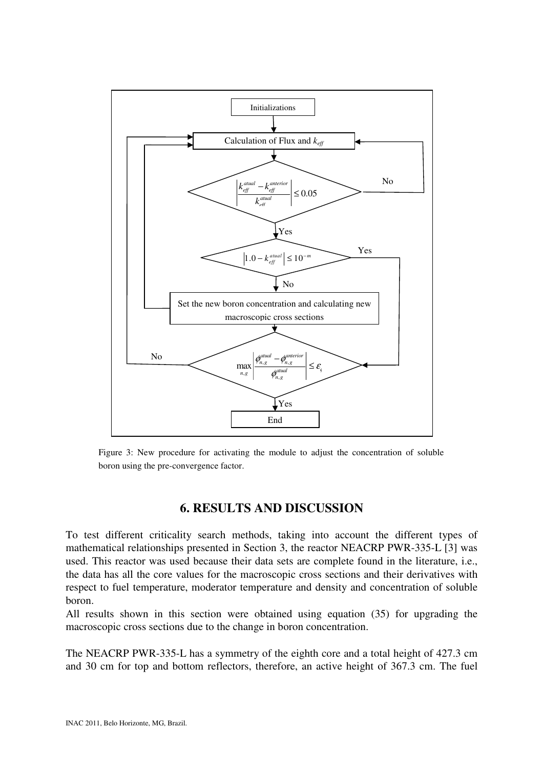

Figure 3: New procedure for activating the module to adjust the concentration of soluble boron using the pre-convergence factor.

## **6. RESULTS AND DISCUSSION**

To test different criticality search methods, taking into account the different types of mathematical relationships presented in Section 3, the reactor NEACRP PWR-335-L [3] was used. This reactor was used because their data sets are complete found in the literature, i.e., the data has all the core values for the macroscopic cross sections and their derivatives with respect to fuel temperature, moderator temperature and density and concentration of soluble boron.

All results shown in this section were obtained using equation (35) for upgrading the macroscopic cross sections due to the change in boron concentration.

The NEACRP PWR-335-L has a symmetry of the eighth core and a total height of 427.3 cm and 30 cm for top and bottom reflectors, therefore, an active height of 367.3 cm. The fuel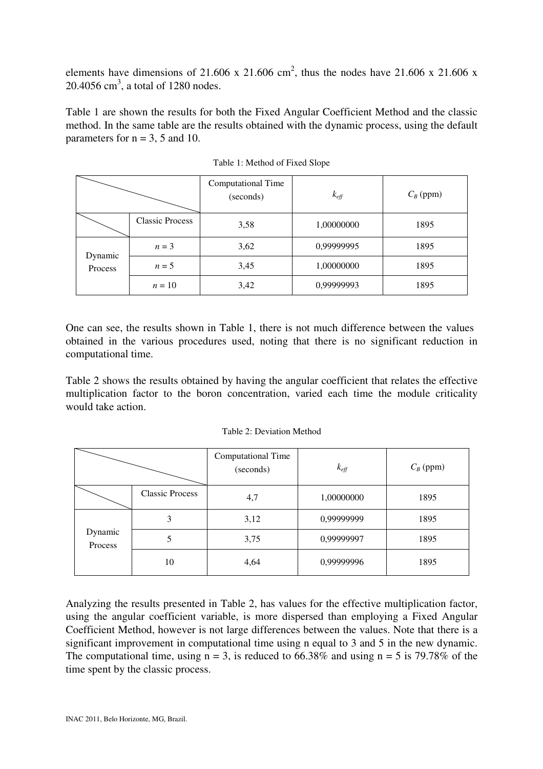elements have dimensions of 21.606 x 21.606 cm<sup>2</sup>, thus the nodes have 21.606 x 21.606 x  $20.4056$  cm<sup>3</sup>, a total of 1280 nodes.

Table 1 are shown the results for both the Fixed Angular Coefficient Method and the classic method. In the same table are the results obtained with the dynamic process, using the default parameters for  $n = 3$ , 5 and 10.

|                    |                        | Computational Time<br>(seconds) | $k_{\text{eff}}$ | $C_B$ (ppm) |
|--------------------|------------------------|---------------------------------|------------------|-------------|
|                    | <b>Classic Process</b> | 3,58                            | 1,00000000       | 1895        |
| Dynamic<br>Process | $n=3$                  | 3,62                            | 0,99999995       | 1895        |
|                    | $n=5$                  | 3,45                            | 1,00000000       | 1895        |
|                    | $n=10$                 | 3,42                            | 0,99999993       | 1895        |

Table 1: Method of Fixed Slope

One can see, the results shown in Table 1, there is not much difference between the values obtained in the various procedures used, noting that there is no significant reduction in computational time.

Table 2 shows the results obtained by having the angular coefficient that relates the effective multiplication factor to the boron concentration, varied each time the module criticality would take action.

|                    |                        | Computational Time<br>(seconds) | $k_{\text{eff}}$ | $C_B$ (ppm) |
|--------------------|------------------------|---------------------------------|------------------|-------------|
|                    | <b>Classic Process</b> | 4,7                             | 1,00000000       | 1895        |
| Dynamic<br>Process | 3                      | 3,12                            | 0,99999999       | 1895        |
|                    |                        | 3,75                            | 0,99999997       | 1895        |
|                    | 10                     | 4,64                            | 0,99999996       | 1895        |

Table 2: Deviation Method

Analyzing the results presented in Table 2, has values for the effective multiplication factor, using the angular coefficient variable, is more dispersed than employing a Fixed Angular Coefficient Method, however is not large differences between the values. Note that there is a significant improvement in computational time using n equal to 3 and 5 in the new dynamic. The computational time, using  $n = 3$ , is reduced to 66.38% and using  $n = 5$  is 79.78% of the time spent by the classic process.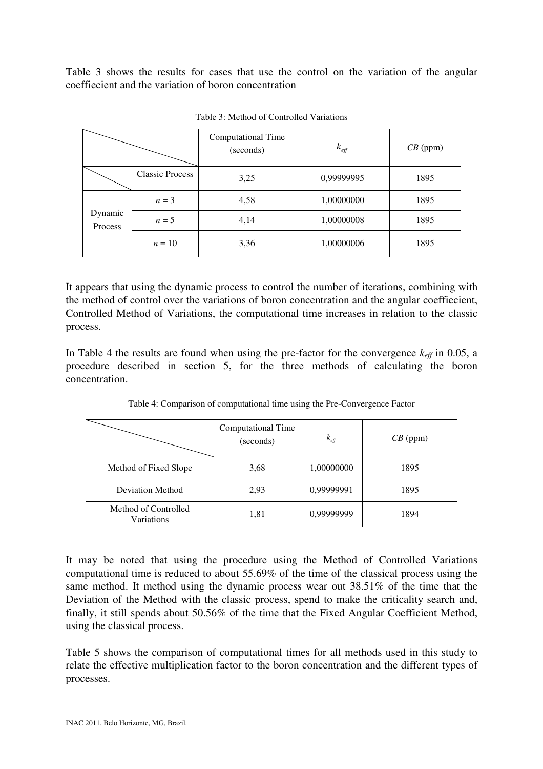Table 3 shows the results for cases that use the control on the variation of the angular coeffiecient and the variation of boron concentration

|                    |                        | Computational Time<br>$k_{\it eff}$<br>(seconds) |            | $CB$ (ppm) |
|--------------------|------------------------|--------------------------------------------------|------------|------------|
|                    | <b>Classic Process</b> | 3,25                                             | 0,99999995 | 1895       |
| Dynamic<br>Process | $n=3$                  | 4,58                                             | 1,00000000 | 1895       |
|                    | $n = 5$                | 4,14                                             | 1,00000008 | 1895       |
|                    | $n=10$                 | 3,36                                             | 1,00000006 | 1895       |

Table 3: Method of Controlled Variations

It appears that using the dynamic process to control the number of iterations, combining with the method of control over the variations of boron concentration and the angular coeffiecient, Controlled Method of Variations, the computational time increases in relation to the classic process.

In Table 4 the results are found when using the pre-factor for the convergence  $k_{\text{eff}}$  in 0.05, a procedure described in section 5, for the three methods of calculating the boron concentration.

|                                    | Computational Time<br>(seconds) | $k_{\text{eff}}$ | $CB$ (ppm) |
|------------------------------------|---------------------------------|------------------|------------|
| Method of Fixed Slope              | 3,68                            | 1,00000000       | 1895       |
| <b>Deviation Method</b>            | 2,93                            | 0,99999991       | 1895       |
| Method of Controlled<br>Variations | 1,81                            | 0,99999999       | 1894       |

Table 4: Comparison of computational time using the Pre-Convergence Factor

It may be noted that using the procedure using the Method of Controlled Variations computational time is reduced to about 55.69% of the time of the classical process using the same method. It method using the dynamic process wear out 38.51% of the time that the Deviation of the Method with the classic process, spend to make the criticality search and, finally, it still spends about 50.56% of the time that the Fixed Angular Coefficient Method, using the classical process.

Table 5 shows the comparison of computational times for all methods used in this study to relate the effective multiplication factor to the boron concentration and the different types of processes.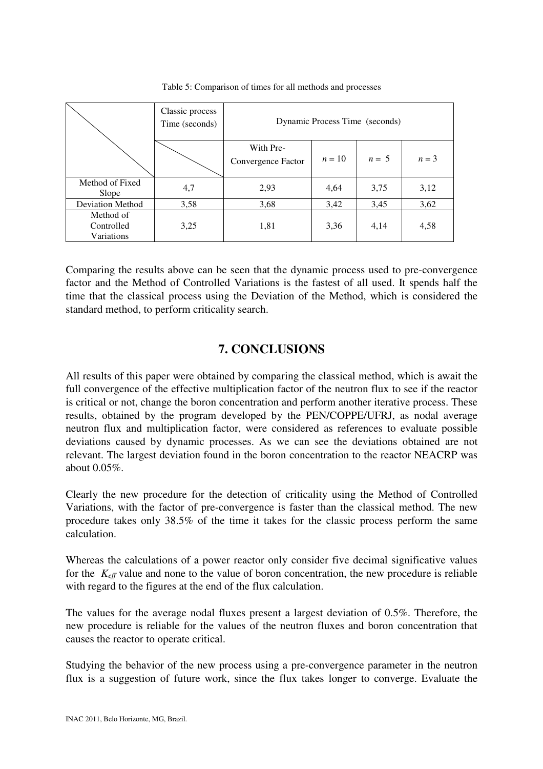|                                       | Classic process<br>Time (seconds) | Dynamic Process Time (seconds)  |        |         |         |
|---------------------------------------|-----------------------------------|---------------------------------|--------|---------|---------|
|                                       |                                   | With Pre-<br>Convergence Factor | $n=10$ | $n = 5$ | $n = 3$ |
| Method of Fixed<br>Slope              | 4,7                               | 2,93                            | 4,64   | 3,75    | 3,12    |
| <b>Deviation Method</b>               | 3,58                              | 3,68                            | 3,42   | 3,45    | 3,62    |
| Method of<br>Controlled<br>Variations | 3,25                              | 1,81                            | 3,36   | 4,14    | 4,58    |

Table 5: Comparison of times for all methods and processes

Comparing the results above can be seen that the dynamic process used to pre-convergence factor and the Method of Controlled Variations is the fastest of all used. It spends half the time that the classical process using the Deviation of the Method, which is considered the standard method, to perform criticality search.

# **7. CONCLUSIONS**

All results of this paper were obtained by comparing the classical method, which is await the full convergence of the effective multiplication factor of the neutron flux to see if the reactor is critical or not, change the boron concentration and perform another iterative process. These results, obtained by the program developed by the PEN/COPPE/UFRJ, as nodal average neutron flux and multiplication factor, were considered as references to evaluate possible deviations caused by dynamic processes. As we can see the deviations obtained are not relevant. The largest deviation found in the boron concentration to the reactor NEACRP was about 0.05%.

Clearly the new procedure for the detection of criticality using the Method of Controlled Variations, with the factor of pre-convergence is faster than the classical method. The new procedure takes only 38.5% of the time it takes for the classic process perform the same calculation.

Whereas the calculations of a power reactor only consider five decimal significative values for the  $K_{\text{eff}}$  value and none to the value of boron concentration, the new procedure is reliable with regard to the figures at the end of the flux calculation.

The values for the average nodal fluxes present a largest deviation of 0.5%. Therefore, the new procedure is reliable for the values of the neutron fluxes and boron concentration that causes the reactor to operate critical.

Studying the behavior of the new process using a pre-convergence parameter in the neutron flux is a suggestion of future work, since the flux takes longer to converge. Evaluate the